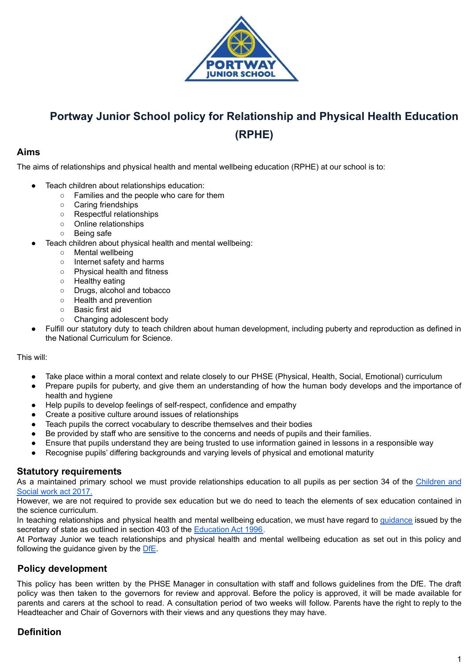

# **Portway Junior School policy for Relationship and Physical Health Education (RPHE)**

## **Aims**

The aims of relationships and physical health and mental wellbeing education (RPHE) at our school is to:

- Teach children about relationships education:
	- Families and the people who care for them
	- Caring friendships
	- Respectful relationships
	- Online relationships
	- Being safe
	- Teach children about physical health and mental wellbeing:
		- Mental wellbeing
		- Internet safety and harms
		- Physical health and fitness
		- Healthy eating
		- Drugs, alcohol and tobacco
		- Health and prevention
		- Basic first aid
		- Changing adolescent body
- Fulfill our statutory duty to teach children about human development, including puberty and reproduction as defined in the National Curriculum for Science.

#### This will:

- Take place within a moral context and relate closely to our PHSE (Physical, Health, Social, Emotional) curriculum
- Prepare pupils for puberty, and give them an understanding of how the human body develops and the importance of health and hygiene
- Help pupils to develop feelings of self-respect, confidence and empathy
- Create a positive culture around issues of relationships
- Teach pupils the correct vocabulary to describe themselves and their bodies
- Be provided by staff who are sensitive to the concerns and needs of pupils and their families.
- Ensure that pupils understand they are being trusted to use information gained in lessons in a responsible way
- Recognise pupils' differing backgrounds and varying levels of physical and emotional maturity

## **Statutory requirements**

As a maintained primary school we must provide relationships education to all pupils as per section 34 of the [Children](http://www.legislation.gov.uk/ukpga/2017/16/section/34/enacted) and [Social](http://www.legislation.gov.uk/ukpga/2017/16/section/34/enacted) work act 2017.

However, we are not required to provide sex education but we do need to teach the elements of sex education contained in the science curriculum.

In teaching relationships and physical health and mental wellbeing education, we must have regard to [guidance](https://www.gov.uk/government/consultations/relationships-and-sex-education-and-health-education) issued by the secretary of state as outlined in section 403 of the [Education](http://www.legislation.gov.uk/ukpga/1996/56/contents) Act 1996.

At Portway Junior we teach relationships and physical health and mental wellbeing education as set out in this policy and following the guidance given by the [DfE](https://assets.publishing.service.gov.uk/government/uploads/system/uploads/attachment_data/file/1019542/Relationships_Education__Relationships_and_Sex_Education__RSE__and_Health_Education.pdf).

## **Policy development**

This policy has been written by the PHSE Manager in consultation with staff and follows guidelines from the DfE. The draft policy was then taken to the governors for review and approval. Before the policy is approved, it will be made available for parents and carers at the school to read. A consultation period of two weeks will follow. Parents have the right to reply to the Headteacher and Chair of Governors with their views and any questions they may have.

## **Definition**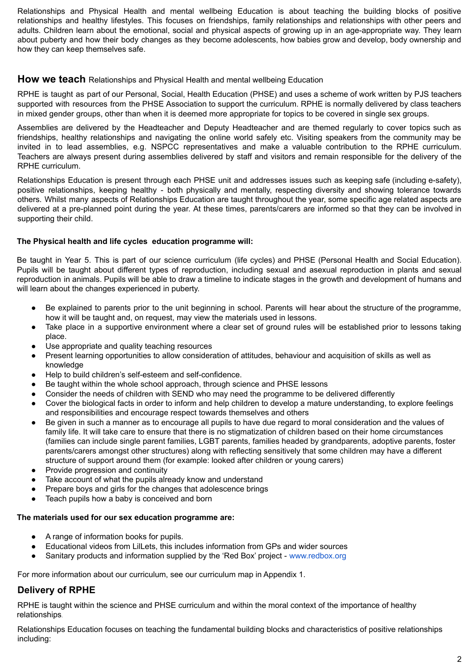Relationships and Physical Health and mental wellbeing Education is about teaching the building blocks of positive relationships and healthy lifestyles. This focuses on friendships, family relationships and relationships with other peers and adults. Children learn about the emotional, social and physical aspects of growing up in an age-appropriate way. They learn about puberty and how their body changes as they become adolescents, how babies grow and develop, body ownership and how they can keep themselves safe.

#### **How we teach** Relationships and Physical Health and mental wellbeing Education

RPHE is taught as part of our Personal, Social, Health Education (PHSE) and uses a scheme of work written by PJS teachers supported with resources from the PHSE Association to support the curriculum. RPHE is normally delivered by class teachers in mixed gender groups, other than when it is deemed more appropriate for topics to be covered in single sex groups.

Assemblies are delivered by the Headteacher and Deputy Headteacher and are themed regularly to cover topics such as friendships, healthy relationships and navigating the online world safely etc. Visiting speakers from the community may be invited in to lead assemblies, e.g. NSPCC representatives and make a valuable contribution to the RPHE curriculum. Teachers are always present during assemblies delivered by staff and visitors and remain responsible for the delivery of the RPHE curriculum.

Relationships Education is present through each PHSE unit and addresses issues such as keeping safe (including e-safety), positive relationships, keeping healthy - both physically and mentally, respecting diversity and showing tolerance towards others. Whilst many aspects of Relationships Education are taught throughout the year, some specific age related aspects are delivered at a pre-planned point during the year. At these times, parents/carers are informed so that they can be involved in supporting their child.

#### **The Physical health and life cycles education programme will:**

Be taught in Year 5. This is part of our science curriculum (life cycles) and PHSE (Personal Health and Social Education). Pupils will be taught about different types of reproduction, including sexual and asexual reproduction in plants and sexual reproduction in animals. Pupils will be able to draw a timeline to indicate stages in the growth and development of humans and will learn about the changes experienced in puberty.

- Be explained to parents prior to the unit beginning in school. Parents will hear about the structure of the programme, how it will be taught and, on request, may view the materials used in lessons.
- Take place in a supportive environment where a clear set of ground rules will be established prior to lessons taking place.
- Use appropriate and quality teaching resources
- Present learning opportunities to allow consideration of attitudes, behaviour and acquisition of skills as well as knowledge
- Help to build children's self-esteem and self-confidence.
- Be taught within the whole school approach, through science and PHSE lessons
- Consider the needs of children with SEND who may need the programme to be delivered differently
- Cover the biological facts in order to inform and help children to develop a mature understanding, to explore feelings and responsibilities and encourage respect towards themselves and others
- Be given in such a manner as to encourage all pupils to have due regard to moral consideration and the values of family life. It will take care to ensure that there is no stigmatization of children based on their home circumstances (families can include single parent families, LGBT parents, families headed by grandparents, adoptive parents, foster parents/carers amongst other structures) along with reflecting sensitively that some children may have a different structure of support around them (for example: looked after children or young carers)
- Provide progression and continuity
- Take account of what the pupils already know and understand
- Prepare boys and girls for the changes that adolescence brings
- Teach pupils how a baby is conceived and born

## **The materials used for our sex education programme are:**

- A range of information books for pupils.
- Educational videos from LilLets, this includes information from GPs and wider sources
- Sanitary products and information supplied by the 'Red Box' project www.redbox.org

For more information about our curriculum, see our curriculum map in Appendix 1.

## **Delivery of RPHE**

RPHE is taught within the science and PHSE curriculum and within the moral context of the importance of healthy relationships.

Relationships Education focuses on teaching the fundamental building blocks and characteristics of positive relationships including: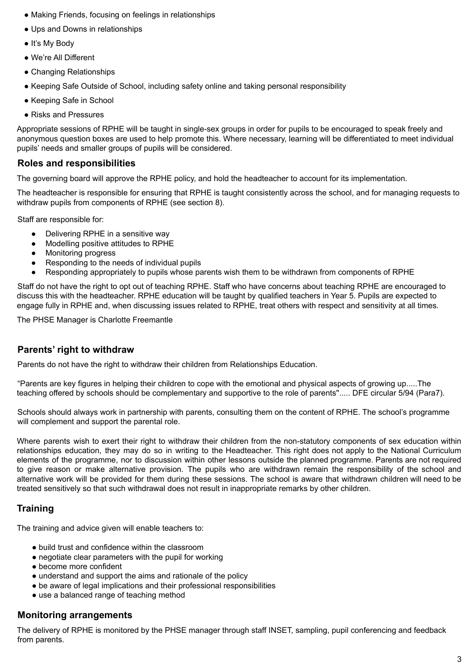- Making Friends, focusing on feelings in relationships
- Ups and Downs in relationships
- It's My Body
- We're All Different
- Changing Relationships
- Keeping Safe Outside of School, including safety online and taking personal responsibility
- Keeping Safe in School
- Risks and Pressures

Appropriate sessions of RPHE will be taught in single-sex groups in order for pupils to be encouraged to speak freely and anonymous question boxes are used to help promote this. Where necessary, learning will be differentiated to meet individual pupils' needs and smaller groups of pupils will be considered.

## **Roles and responsibilities**

The governing board will approve the RPHE policy, and hold the headteacher to account for its implementation.

The headteacher is responsible for ensuring that RPHE is taught consistently across the school, and for managing requests to withdraw pupils from components of RPHE (see section 8).

Staff are responsible for:

- Delivering RPHE in a sensitive way
- Modelling positive attitudes to RPHE
- Monitoring progress
- Responding to the needs of individual pupils
- Responding appropriately to pupils whose parents wish them to be withdrawn from components of RPHE

Staff do not have the right to opt out of teaching RPHE. Staff who have concerns about teaching RPHE are encouraged to discuss this with the headteacher. RPHE education will be taught by qualified teachers in Year 5. Pupils are expected to engage fully in RPHE and, when discussing issues related to RPHE, treat others with respect and sensitivity at all times.

The PHSE Manager is Charlotte Freemantle

## **Parents' right to withdraw**

Parents do not have the right to withdraw their children from Relationships Education.

"Parents are key figures in helping their children to cope with the emotional and physical aspects of growing up.....The teaching offered by schools should be complementary and supportive to the role of parents''..... DFE circular 5/94 (Para7).

Schools should always work in partnership with parents, consulting them on the content of RPHE. The school's programme will complement and support the parental role.

Where parents wish to exert their right to withdraw their children from the non-statutory components of sex education within relationships education, they may do so in writing to the Headteacher. This right does not apply to the National Curriculum elements of the programme, nor to discussion within other lessons outside the planned programme. Parents are not required to give reason or make alternative provision. The pupils who are withdrawn remain the responsibility of the school and alternative work will be provided for them during these sessions. The school is aware that withdrawn children will need to be treated sensitively so that such withdrawal does not result in inappropriate remarks by other children.

## **Training**

The training and advice given will enable teachers to:

- build trust and confidence within the classroom
- negotiate clear parameters with the pupil for working
- become more confident
- understand and support the aims and rationale of the policy
- be aware of legal implications and their professional responsibilities
- use a balanced range of teaching method

## **Monitoring arrangements**

The delivery of RPHE is monitored by the PHSE manager through staff INSET, sampling, pupil conferencing and feedback from parents.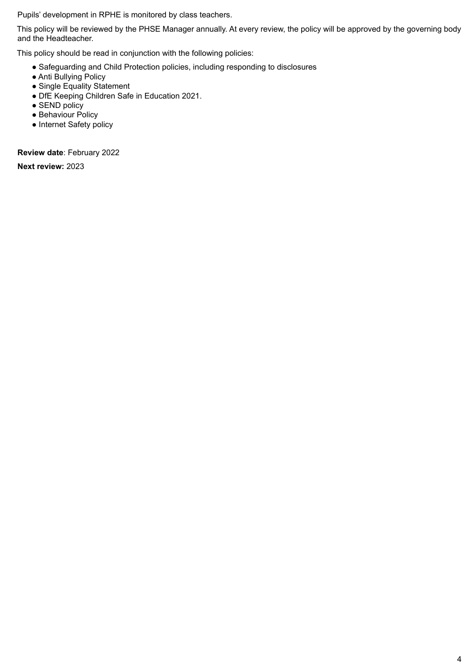Pupils' development in RPHE is monitored by class teachers.

This policy will be reviewed by the PHSE Manager annually. At every review, the policy will be approved by the governing body and the Headteacher.

This policy should be read in conjunction with the following policies:

- Safeguarding and Child Protection policies, including responding to disclosures
- Anti Bullying Policy
- Single Equality Statement
- DfE Keeping Children Safe in Education 2021.
- SEND policy
- Behaviour Policy
- Internet Safety policy

**Review date**: February 2022

**Next review:** 2023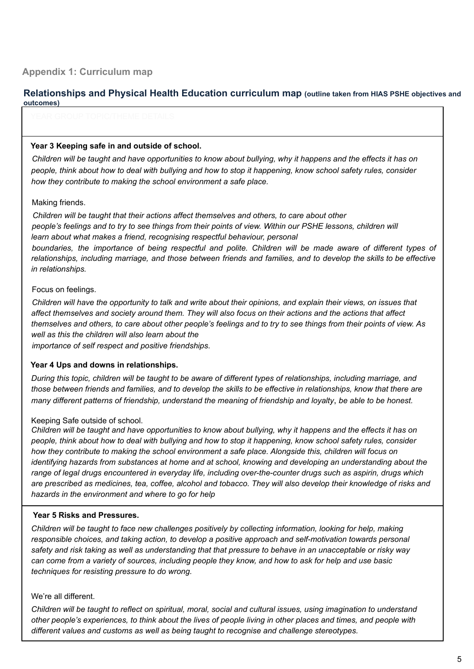**Relationships and Physical Health Education curriculum map (outline taken from HIAS PSHE objectives and outcomes)**

#### **Year 3 Keeping safe in and outside of school.**

Children will be taught and have opportunities to know about bullying, why it happens and the effects it has on people, think about how to deal with bullying and how to stop it happening, know school safety rules, consider *how they contribute to making the school environment a safe place.*

#### Making friends.

*Children will be taught that their actions affect themselves and others, to care about other* people's feelings and to try to see things from their points of view. Within our PSHE lessons, children will *learn about what makes a friend, recognising respectful behaviour, personal* boundaries, the importance of being respectful and polite. Children will be made aware of different types of relationships, including marriage, and those between friends and families, and to develop the skills to be effective *in relationships.*

#### Focus on feelings.

Children will have the opportunity to talk and write about their opinions, and explain their views, on issues that affect themselves and society around them. They will also focus on their actions and the actions that affect themselves and others, to care about other people's feelings and to try to see things from their points of view. As *well as this the children will also learn about the importance of self respect and positive friendships*.

## **Year 4 Ups and downs in relationships.**

During this topic, children will be taught to be aware of different types of relationships, including marriage, and those between friends and families, and to develop the skills to be effective in relationships, know that there are many different patterns of friendship, understand the meaning of friendship and loyalty, be able to be honest.

#### Keeping Safe outside of school.

Children will be taught and have opportunities to know about bullying, why it happens and the effects it has on people, think about how to deal with bullying and how to stop it happening, know school safety rules, consider *how they contribute to making the school environment a safe place. Alongside this, children will focus on identifying hazards from substances at home and at school, knowing and developing an understanding about the range of legal drugs encountered in everyday life, including over-the-counter drugs such as aspirin, drugs which* are prescribed as medicines, tea, coffee, alcohol and tobacco. They will also develop their knowledge of risks and *hazards in the environment and where to go for help*

#### **Year 5 Risks and Pressures.**

*Children will be taught to face new challenges positively by collecting information, looking for help, making responsible choices, and taking action, to develop a positive approach and self-motivation towards personal* safety and risk taking as well as understanding that that pressure to behave in an unacceptable or risky way can come from a variety of sources, including people they know, and how to ask for help and use basic *techniques for resisting pressure to do wrong.*

#### We're all different.

Children will be taught to reflect on spiritual, moral, social and cultural issues, using imagination to understand other people's experiences, to think about the lives of people living in other places and times, and people with *different values and customs as well as being taught to recognise and challenge stereotypes.*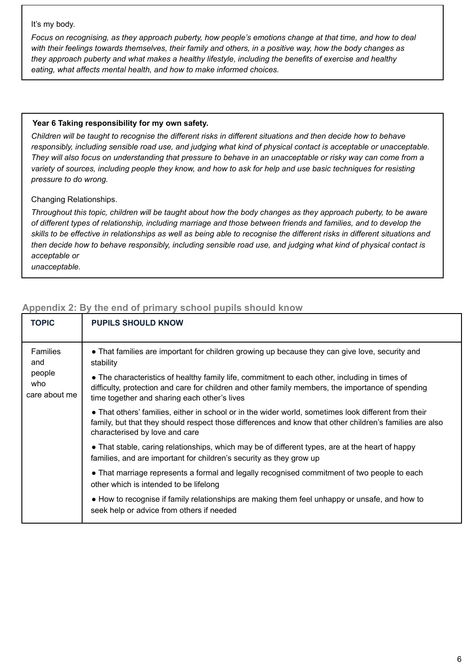#### It's my body.

Focus on recognising, as they approach puberty, how people's emotions change at that time, and how to deal with their feelings towards themselves, their family and others, in a positive way, how the body changes as *they approach puberty and what makes a healthy lifestyle, including the benefits of exercise and healthy eating, what affects mental health, and how to make informed choices.*

#### **Year 6 Taking responsibility for my own safety.**

Children will be taught to recognise the different risks in different situations and then decide how to behave responsibly, including sensible road use, and judging what kind of physical contact is acceptable or unacceptable. They will also focus on understanding that pressure to behave in an unacceptable or risky way can come from a variety of sources, including people they know, and how to ask for help and use basic techniques for resisting *pressure to do wrong.*

Changing Relationships.

Throughout this topic, children will be taught about how the body changes as they approach puberty, to be aware of different types of relationship, including marriage and those between friends and families, and to develop the skills to be effective in relationships as well as being able to recognise the different risks in different situations and then decide how to behave responsibly, including sensible road use, and judging what kind of physical contact is *acceptable or*

*unacceptable.*

| TOPIC                                             | <b>PUPILS SHOULD KNOW</b>                                                                                                                                                                                                                          |
|---------------------------------------------------|----------------------------------------------------------------------------------------------------------------------------------------------------------------------------------------------------------------------------------------------------|
| Families<br>and<br>people<br>who<br>care about me | • That families are important for children growing up because they can give love, security and<br>stability                                                                                                                                        |
|                                                   | • The characteristics of healthy family life, commitment to each other, including in times of<br>difficulty, protection and care for children and other family members, the importance of spending<br>time together and sharing each other's lives |
|                                                   | • That others' families, either in school or in the wider world, sometimes look different from their<br>family, but that they should respect those differences and know that other children's families are also<br>characterised by love and care  |
|                                                   | • That stable, caring relationships, which may be of different types, are at the heart of happy<br>families, and are important for children's security as they grow up                                                                             |
|                                                   | • That marriage represents a formal and legally recognised commitment of two people to each<br>other which is intended to be lifelong                                                                                                              |
|                                                   | • How to recognise if family relationships are making them feel unhappy or unsafe, and how to<br>seek help or advice from others if needed                                                                                                         |

## **Appendix 2: By the end of primary school pupils should know**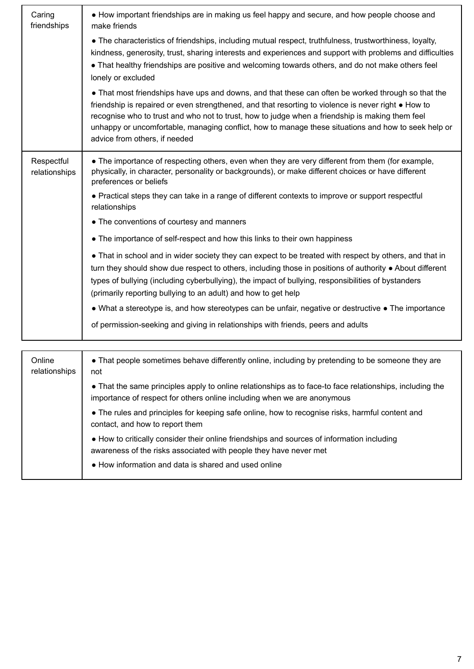| Caring<br>friendships       | • How important friendships are in making us feel happy and secure, and how people choose and<br>make friends                                                                                                                                                                                                                                                                                                                                        |
|-----------------------------|------------------------------------------------------------------------------------------------------------------------------------------------------------------------------------------------------------------------------------------------------------------------------------------------------------------------------------------------------------------------------------------------------------------------------------------------------|
|                             | • The characteristics of friendships, including mutual respect, truthfulness, trustworthiness, loyalty,<br>kindness, generosity, trust, sharing interests and experiences and support with problems and difficulties<br>• That healthy friendships are positive and welcoming towards others, and do not make others feel<br>lonely or excluded                                                                                                      |
|                             | • That most friendships have ups and downs, and that these can often be worked through so that the<br>friendship is repaired or even strengthened, and that resorting to violence is never right . How to<br>recognise who to trust and who not to trust, how to judge when a friendship is making them feel<br>unhappy or uncomfortable, managing conflict, how to manage these situations and how to seek help or<br>advice from others, if needed |
| Respectful<br>relationships | • The importance of respecting others, even when they are very different from them (for example,<br>physically, in character, personality or backgrounds), or make different choices or have different<br>preferences or beliefs                                                                                                                                                                                                                     |
|                             | • Practical steps they can take in a range of different contexts to improve or support respectful<br>relationships                                                                                                                                                                                                                                                                                                                                   |
|                             | • The conventions of courtesy and manners                                                                                                                                                                                                                                                                                                                                                                                                            |
|                             | • The importance of self-respect and how this links to their own happiness                                                                                                                                                                                                                                                                                                                                                                           |
|                             | • That in school and in wider society they can expect to be treated with respect by others, and that in<br>turn they should show due respect to others, including those in positions of authority . About different<br>types of bullying (including cyberbullying), the impact of bullying, responsibilities of bystanders<br>(primarily reporting bullying to an adult) and how to get help                                                         |
|                             | • What a stereotype is, and how stereotypes can be unfair, negative or destructive • The importance                                                                                                                                                                                                                                                                                                                                                  |
|                             | of permission-seeking and giving in relationships with friends, peers and adults                                                                                                                                                                                                                                                                                                                                                                     |
|                             |                                                                                                                                                                                                                                                                                                                                                                                                                                                      |
| Online<br>relationships     | • That people sometimes behave differently online, including by pretending to be someone they are<br>not                                                                                                                                                                                                                                                                                                                                             |
|                             | • That the same principles apply to online relationships as to face-to face relationships, including the<br>importance of respect for others online including when we are anonymous                                                                                                                                                                                                                                                                  |
|                             | • The rules and principles for keeping safe online, how to recognise risks, harmful content and<br>contact, and how to report them                                                                                                                                                                                                                                                                                                                   |
|                             | • How to critically consider their online friendships and sources of information including<br>awareness of the risks associated with people they have never met                                                                                                                                                                                                                                                                                      |
|                             | • How information and data is shared and used online                                                                                                                                                                                                                                                                                                                                                                                                 |
|                             |                                                                                                                                                                                                                                                                                                                                                                                                                                                      |